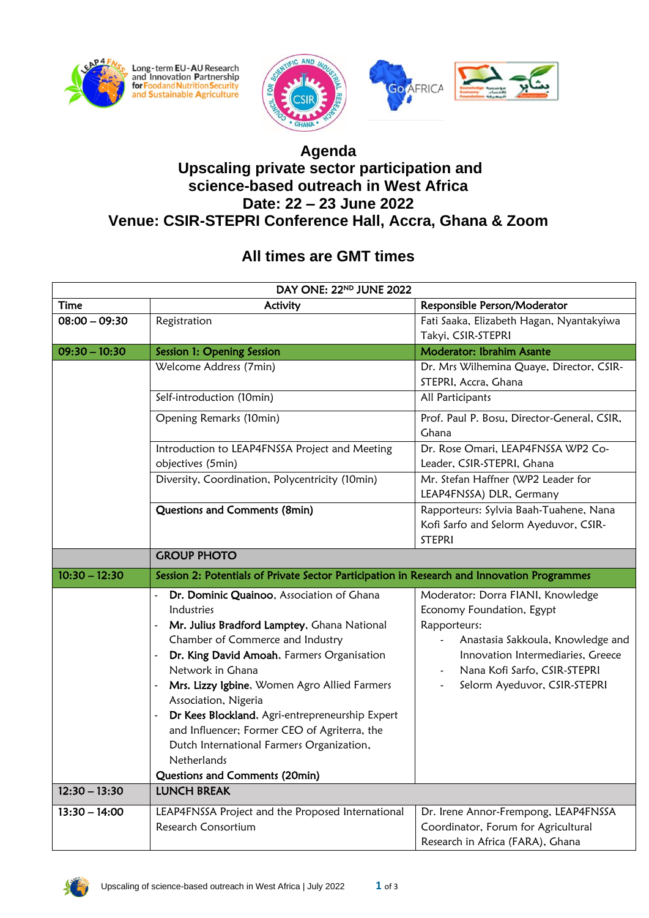





## **Agenda**

## **Upscaling private sector participation and science-based outreach in West Africa Date: 22 – 23 June 2022 Venue: CSIR-STEPRI Conference Hall, Accra, Ghana & Zoom**

## **All times are GMT times**

| DAY ONE: 22ND JUNE 2022 |                                                                                             |                                                                             |  |
|-------------------------|---------------------------------------------------------------------------------------------|-----------------------------------------------------------------------------|--|
| <b>Time</b>             | Activity                                                                                    | Responsible Person/Moderator                                                |  |
| $08:00 - 09:30$         | Registration                                                                                | Fati Saaka, Elizabeth Hagan, Nyantakyiwa                                    |  |
|                         |                                                                                             | Takyi, CSIR-STEPRI                                                          |  |
| $09:30 - 10:30$         | Session 1: Opening Session                                                                  | Moderator: Ibrahim Asante                                                   |  |
|                         | Welcome Address (7min)                                                                      | Dr. Mrs Wilhemina Quaye, Director, CSIR-                                    |  |
|                         |                                                                                             | STEPRI, Accra, Ghana                                                        |  |
|                         | Self-introduction (10min)                                                                   | All Participants                                                            |  |
|                         | Opening Remarks (10min)                                                                     | Prof. Paul P. Bosu, Director-General, CSIR,                                 |  |
|                         |                                                                                             | Ghana                                                                       |  |
|                         | Introduction to LEAP4FNSSA Project and Meeting                                              | Dr. Rose Omari, LEAP4FNSSA WP2 Co-                                          |  |
|                         | objectives (5min)                                                                           | Leader, CSIR-STEPRI, Ghana                                                  |  |
|                         | Diversity, Coordination, Polycentricity (10min)                                             | Mr. Stefan Haffner (WP2 Leader for                                          |  |
|                         |                                                                                             | LEAP4FNSSA) DLR, Germany                                                    |  |
|                         | Questions and Comments (8min)                                                               | Rapporteurs: Sylvia Baah-Tuahene, Nana                                      |  |
|                         |                                                                                             | Kofi Sarfo and Selorm Ayeduvor, CSIR-                                       |  |
|                         |                                                                                             | <b>STEPRI</b>                                                               |  |
|                         | <b>GROUP PHOTO</b>                                                                          |                                                                             |  |
|                         | Session 2: Potentials of Private Sector Participation in Research and Innovation Programmes |                                                                             |  |
| $10:30 - 12:30$         |                                                                                             |                                                                             |  |
|                         | Dr. Dominic Quainoo, Association of Ghana                                                   | Moderator: Dorra FIANI, Knowledge                                           |  |
|                         | Industries                                                                                  | Economy Foundation, Egypt                                                   |  |
|                         | Mr. Julius Bradford Lamptey, Ghana National<br>$\overline{\phantom{a}}$                     | Rapporteurs:                                                                |  |
|                         | Chamber of Commerce and Industry                                                            | Anastasia Sakkoula, Knowledge and                                           |  |
|                         | Dr. King David Amoah, Farmers Organisation<br>۰                                             | Innovation Intermediaries, Greece                                           |  |
|                         | Network in Ghana                                                                            | Nana Kofi Sarfo, CSIR-STEPRI                                                |  |
|                         | Mrs. Lizzy Igbine, Women Agro Allied Farmers                                                | Selorm Ayeduvor, CSIR-STEPRI                                                |  |
|                         | Association, Nigeria                                                                        |                                                                             |  |
|                         | Dr Kees Blockland, Agri-entrepreneurship Expert<br>$\overline{\phantom{0}}$                 |                                                                             |  |
|                         | and Influencer; Former CEO of Agriterra, the                                                |                                                                             |  |
|                         | Dutch International Farmers Organization,<br>Netherlands                                    |                                                                             |  |
|                         |                                                                                             |                                                                             |  |
| $12:30 - 13:30$         | Questions and Comments (20min)<br><b>LUNCH BREAK</b>                                        |                                                                             |  |
| $13:30 - 14:00$         |                                                                                             |                                                                             |  |
|                         | LEAP4FNSSA Project and the Proposed International<br>Research Consortium                    | Dr. Irene Annor-Frempong, LEAP4FNSSA<br>Coordinator, Forum for Agricultural |  |

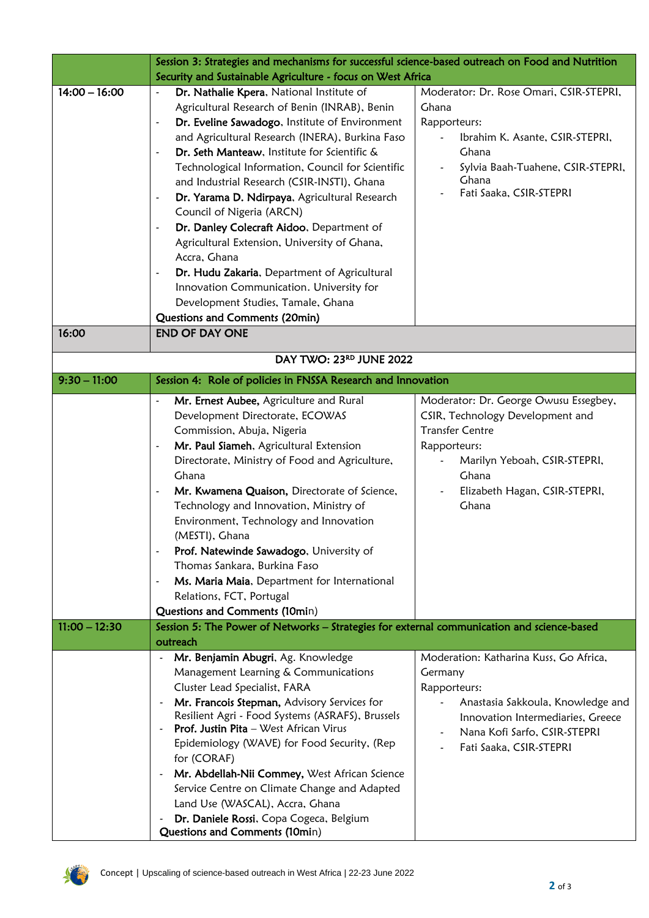|                 | Session 3: Strategies and mechanisms for successful science-based outreach on Food and Nutrition |                                         |  |
|-----------------|--------------------------------------------------------------------------------------------------|-----------------------------------------|--|
|                 | Security and Sustainable Agriculture - focus on West Africa                                      |                                         |  |
| $14:00 - 16:00$ | Dr. Nathalie Kpera, National Institute of<br>$\overline{\phantom{m}}$                            | Moderator: Dr. Rose Omari, CSIR-STEPRI, |  |
|                 | Agricultural Research of Benin (INRAB), Benin                                                    | Ghana                                   |  |
|                 | Dr. Eveline Sawadogo, Institute of Environment                                                   | Rapporteurs:                            |  |
|                 | and Agricultural Research (INERA), Burkina Faso                                                  | Ibrahim K. Asante, CSIR-STEPRI,         |  |
|                 | Dr. Seth Manteaw, Institute for Scientific &<br>$\overline{a}$                                   | Ghana                                   |  |
|                 | Technological Information, Council for Scientific                                                | Sylvia Baah-Tuahene, CSIR-STEPRI,       |  |
|                 | and Industrial Research (CSIR-INSTI), Ghana                                                      | Ghana                                   |  |
|                 | Dr. Yarama D. Ndirpaya, Agricultural Research<br>$\overline{\phantom{a}}$                        | Fati Saaka, CSIR-STEPRI                 |  |
|                 | Council of Nigeria (ARCN)                                                                        |                                         |  |
|                 | Dr. Danley Colecraft Aidoo, Department of                                                        |                                         |  |
|                 | Agricultural Extension, University of Ghana,                                                     |                                         |  |
|                 | Accra, Ghana                                                                                     |                                         |  |
|                 | Dr. Hudu Zakaria, Department of Agricultural                                                     |                                         |  |
|                 | Innovation Communication. University for                                                         |                                         |  |
|                 | Development Studies, Tamale, Ghana                                                               |                                         |  |
|                 | Questions and Comments (20min)                                                                   |                                         |  |
| 16:00           | <b>END OF DAY ONE</b>                                                                            |                                         |  |
|                 |                                                                                                  |                                         |  |
|                 | DAY TWO: 23RD JUNE 2022                                                                          |                                         |  |
| $9:30 - 11:00$  | Session 4: Role of policies in FNSSA Research and Innovation                                     |                                         |  |
|                 | Mr. Ernest Aubee, Agriculture and Rural<br>$\overline{\phantom{a}}$                              | Moderator: Dr. George Owusu Essegbey,   |  |
|                 | Development Directorate, ECOWAS                                                                  | CSIR, Technology Development and        |  |
|                 | Commission, Abuja, Nigeria                                                                       | <b>Transfer Centre</b>                  |  |
|                 | Mr. Paul Siameh, Agricultural Extension<br>$\overline{\phantom{a}}$                              | Rapporteurs:                            |  |
|                 | Directorate, Ministry of Food and Agriculture,                                                   | Marilyn Yeboah, CSIR-STEPRI,            |  |
|                 | Ghana                                                                                            | Ghana                                   |  |
|                 | Mr. Kwamena Quaison, Directorate of Science,<br>$\overline{a}$                                   | Elizabeth Hagan, CSIR-STEPRI,           |  |
|                 | Technology and Innovation, Ministry of                                                           | Ghana                                   |  |
|                 | Environment, Technology and Innovation                                                           |                                         |  |
|                 | (MESTI), Ghana                                                                                   |                                         |  |
|                 | Prof. Natewinde Sawadogo, University of<br>$\overline{a}$                                        |                                         |  |
|                 | Thomas Sankara, Burkina Faso                                                                     |                                         |  |
|                 | Ms. Maria Maia, Department for International<br>$\overline{a}$                                   |                                         |  |
|                 | Relations, FCT, Portugal                                                                         |                                         |  |
|                 | Questions and Comments (10min)                                                                   |                                         |  |
| $11:00 - 12:30$ | Session 5: The Power of Networks - Strategies for external communication and science-based       |                                         |  |
|                 | outreach                                                                                         |                                         |  |
|                 | Mr. Benjamin Abugri, Ag. Knowledge<br>$\overline{\phantom{a}}$                                   | Moderation: Katharina Kuss, Go Africa,  |  |
|                 | Management Learning & Communications                                                             | Germany                                 |  |
|                 | Cluster Lead Specialist, FARA                                                                    | Rapporteurs:                            |  |
|                 | Mr. Francois Stepman, Advisory Services for                                                      | Anastasia Sakkoula, Knowledge and       |  |
|                 | Resilient Agri - Food Systems (ASRAFS), Brussels                                                 | Innovation Intermediaries, Greece       |  |
|                 | Prof. Justin Pita - West African Virus                                                           | Nana Kofi Sarfo, CSIR-STEPRI            |  |
|                 | Epidemiology (WAVE) for Food Security, (Rep                                                      | Fati Saaka, CSIR-STEPRI                 |  |
|                 | for (CORAF)                                                                                      |                                         |  |
|                 | Mr. Abdellah-Nii Commey, West African Science                                                    |                                         |  |
|                 | Service Centre on Climate Change and Adapted                                                     |                                         |  |
|                 | Land Use (WASCAL), Accra, Ghana                                                                  |                                         |  |
|                 | Dr. Daniele Rossi, Copa Cogeca, Belgium                                                          |                                         |  |
|                 | Questions and Comments (10min)                                                                   |                                         |  |